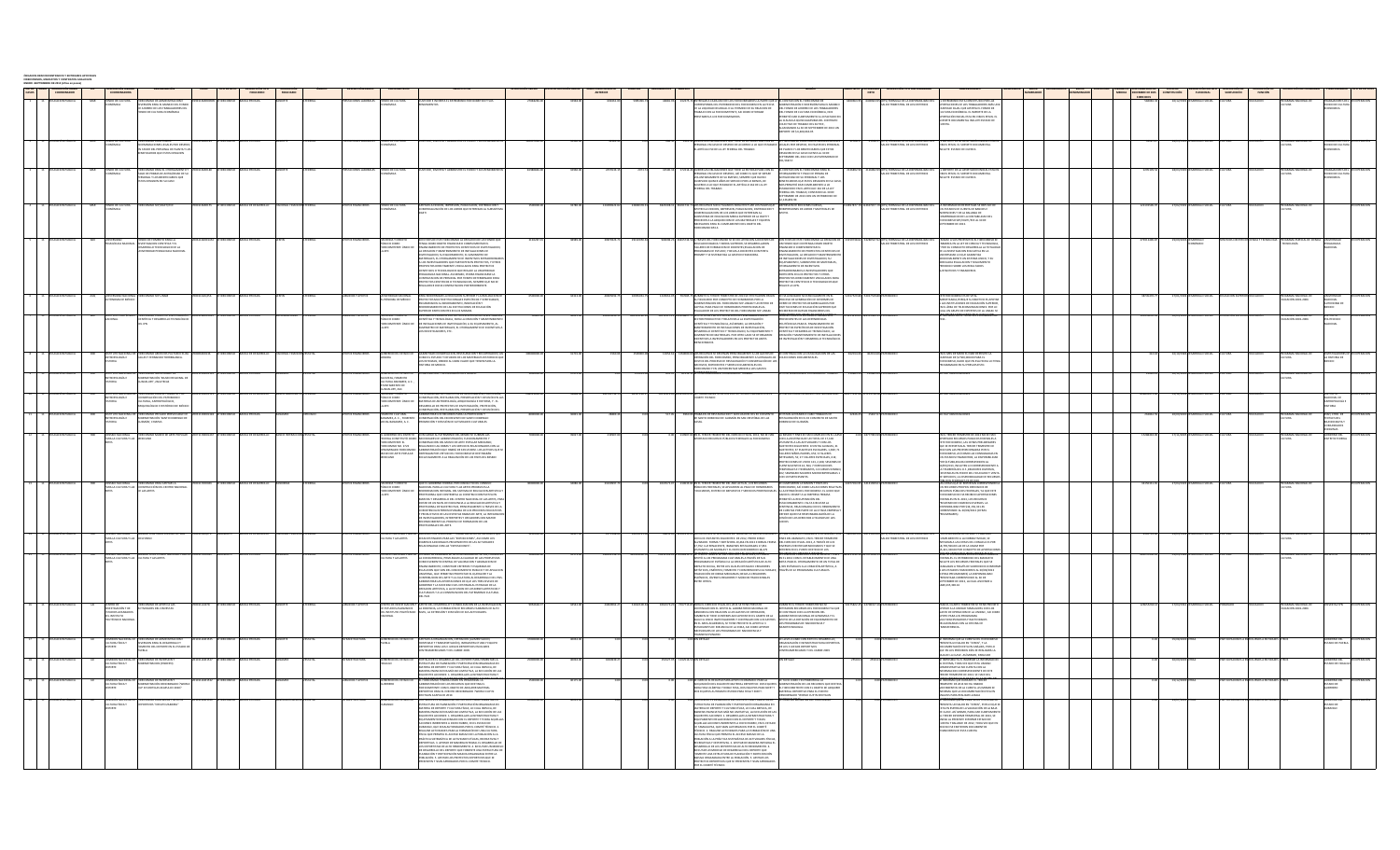|                                                                                                                               | DESCRIPCIÓN UNIDAD                                                                                                            | <b>CHOMINACOM</b>                                                                                                                        |                                                     |  | DESCRIPCIÓN GRUPO                   |                                                                                                                                                                                                                                                                                                                                                                                                                                                               | APORTACIÓN INICIAL |        | FECHA APORTACIÓN INICIAL 5ALDO FINAL EJERCICIO | <b>INCECSOS</b> |                  |                                                                                                                                                                                                                                                                                                                                                                                                                                                                                                                                                                                                                                                                                              | MISIÓN                                                                                                                                                                                                                                                                                                                                                                                                                                                                                |   | SALDO NETO   PATRIMONIO   DESCRIPCIÓN TIPO DISPONIBILIDAD | OBSERVACIONES                                                                                                                                                                                                                                                                                                                                                                                                                                                                                 |  |          |  |  |                                         |                                                           |
|-------------------------------------------------------------------------------------------------------------------------------|-------------------------------------------------------------------------------------------------------------------------------|------------------------------------------------------------------------------------------------------------------------------------------|-----------------------------------------------------|--|-------------------------------------|---------------------------------------------------------------------------------------------------------------------------------------------------------------------------------------------------------------------------------------------------------------------------------------------------------------------------------------------------------------------------------------------------------------------------------------------------------------|--------------------|--------|------------------------------------------------|-----------------|------------------|----------------------------------------------------------------------------------------------------------------------------------------------------------------------------------------------------------------------------------------------------------------------------------------------------------------------------------------------------------------------------------------------------------------------------------------------------------------------------------------------------------------------------------------------------------------------------------------------------------------------------------------------------------------------------------------------|---------------------------------------------------------------------------------------------------------------------------------------------------------------------------------------------------------------------------------------------------------------------------------------------------------------------------------------------------------------------------------------------------------------------------------------------------------------------------------------|---|-----------------------------------------------------------|-----------------------------------------------------------------------------------------------------------------------------------------------------------------------------------------------------------------------------------------------------------------------------------------------------------------------------------------------------------------------------------------------------------------------------------------------------------------------------------------------|--|----------|--|--|-----------------------------------------|-----------------------------------------------------------|
| ENERO SEPTEMBRE DE 2013 (plima en proces)<br>NERO SEPTEMBRE DE 2013 (plima en proces)<br>Na DE RAMO DESCRIPCIÓN RAMO UR CASOS | COORDINADORA                                                                                                                  |                                                                                                                                          | TIPO DE ACTO DE SORROCAN TIPO DE ACTO DE SECRIPCIÓN |  |                                     |                                                                                                                                                                                                                                                                                                                                                                                                                                                               |                    |        | ANTERIOR                                       |                 |                  |                                                                                                                                                                                                                                                                                                                                                                                                                                                                                                                                                                                                                                                                                              |                                                                                                                                                                                                                                                                                                                                                                                                                                                                                       | N |                                                           |                                                                                                                                                                                                                                                                                                                                                                                                                                                                                               |  |          |  |  |                                         |                                                           |
|                                                                                                                               |                                                                                                                               | NERSIÓN PARA EL MANEJO DEL FOND<br>E ANDRRO DE LOS TRABAJADORES DEI<br>DNDO DE CULTURA ECONÓMICA                                         |                                                     |  |                                     |                                                                                                                                                                                                                                                                                                                                                                                                                                                               |                    |        |                                                |                 |                  | MINIMA NO UNO DE DE MONDEMONDO DE SU REACION DE<br>RESPONDA DEL PATRIMONIO DE FIDEICOMBO EN LA FECHA<br>A LIQUIDACION ANUAL O AL TERMINO DE SU RELACION DE<br>ANO CON LA FIDEICOMBARIOS.<br>TAMOS A LOS FIDEICOMBARIOS.                                                                                                                                                                                                                                                                                                                                                                                                                                                                      |                                                                                                                                                                                                                                                                                                                                                                                                                                                                                       |   |                                                           | MONAD ESTA CONSTITUIDO ROR LA<br>EL PATRIMONIO ESTA CONSTITUIDO POR JAS<br>APORTACIONES DE LOS TRABAJADORES MÁS U<br>CANTIDAD IGUAL QUE APORTA EL FONDO DE<br>CULTURA ECONÓMICAL, EL MOVORTO EL AJ<br>APORTACIÓN INICIAL ESTA EN VEJOS PESOS, EL<br>SOPORTE DOCUMENTAL INCLUYE                                                                                                                                                                                                                |  |          |  |  |                                         |                                                           |
|                                                                                                                               |                                                                                                                               | EICOMISO PARA CUBRIR<br>IEMNIZACIONES LEGALES POR DESPI<br>FAVOR DEL PERSONAL DE PLANTA Y<br>IEFICIARIOS QUE ESTOS DESIGNEN              |                                                     |  | TACONES LARORALES FONDO DE CULTURI  | <b>ITODIE: IMAERTA Y ADMINISTRE EI CONDO Y SI IS</b>                                                                                                                                                                                                                                                                                                                                                                                                          |                    |        |                                                |                 |                  | PERSONAL EN CASO DE DESPIDO DE ACUERDO A LO QUE ESTABLI<br>EL ARTÍCULO SO DE LA LEY FEDERAL DEL TRABAJO.                                                                                                                                                                                                                                                                                                                                                                                                                                                                                                                                                                                     | EC LIGALES POR DESPIDO, DA FANOR DEL PERSONAL DE PLANTA Y LOS BENEFICIARIOS QUE ESTOS DESPIDO, DA FANOR DEL PERSONAL DE PLANTA Y LOS BENEFICIARIOS QUE ESTOS DESPIDO, DA FANOR DE SEPTIDAMENTO DE SPECIFICADES DE PLANTA NO DE                                                                                                                                                                                                                                                        |   | O TRIMESTRAL DE LOS CRITERIOS                             | VIEJOS PESOS. EL SOPORTE DOCUMENTAL<br>INCLUYE: ESTADO DE CUENTA.                                                                                                                                                                                                                                                                                                                                                                                                                             |  |          |  |  |                                         |                                                           |
|                                                                                                                               |                                                                                                                               | HERICEMBO PARA LE DI DRIJAMINI I O<br>PAGO DE PRIMAS DE ANTIGÜEDAD DE S<br>PERSONAL Y LOS BENEFICIARIOS QUE<br>ESTOS DESIGNEN EN SU CASO |                                                     |  | STADDINGS LABORALES CONDO DE CUTURA | <b>CTODE INVESTAV AFRANCTOE EI CONDO Y SIS GENDRA</b>                                                                                                                                                                                                                                                                                                                                                                                                         |                    |        |                                                |                 |                  | CHERO 145 ORIGIA COMES OUR TIENE LA ENTIDAD DARA CON 1<br>EIDERM, DIL TRABADOMIS QUI TEINE AR ENDIRADO PARA CONSIDIAREA<br>PERSONAL EN CASO DE DISSIDO, ASÍ COMO EL QUE SE SEPARE<br>VOLUNTARRAMENTE DE SU EMPAIO, SIEMPRE QUE NAVAN<br>CULUNTARRAMENTE DE SU EMPAIO, SIEMPRE QUE NAVAN<br>ACUENDO Q                                                                                                                                                                                                                                                                                                                                                                                         | CONTAG CON EL EIGENOMISO RABA EL<br>EL CONTAR CON EL FERICIONISO PARA EL<br>OTORGAMENTO Y PAGO DE PRIMAS DE<br>ANTIGÜEDAD DE SU PERSONAL Y LOS<br>IRISTERIANOS QUE ESTOS OSSIGNINTO A LO<br>NOS PERMITIÓ DAR CUMPURATINTO A LO<br>ESTARLICIO DE IL LAFRIQUE O SED EL LA LEY<br>FERER                                                                                                                                                                                                  |   | O TRIMESTRAL DE LOS CRITERIOS                             | CLIMODETE DE LA AROETACIÓN INICIAL EST<br>VEJOS PESOS. EL SOPORTE DOCUMENTAL<br>INCLUYE: ESTADO DE CUENTA.                                                                                                                                                                                                                                                                                                                                                                                    |  |          |  |  | SA NACIONAL DE                          | FONDO DE CULTI.<br>ECONOMICA                              |
|                                                                                                                               | NÓMICA                                                                                                                        |                                                                                                                                          |                                                     |  | FONDO DE CULTURA<br>NÓMICA          | .<br>Kadiyar la edigön, inpresión, publicación, distribución y<br>Gamero Micalou de los libros que interesan al subsister<br>Game                                                                                                                                                                                                                                                                                                                             |                    |        |                                                |                 |                  | 22,126,892.99.<br>LOS RECURSOS SON UTILIZADOS PARA EFECTURA LOS PAGOS QUE "IMPRESION DE EDICIONES MUEVAS,<br>$\begin{minipage}[t]{0.9\textwidth}\begin{subfigure}[t]{0.9\textwidth}\begin{centerize} \textbf{0.9\textwidth}\begin{centerize} \textbf{0.9\textwidth}\begin{centerize} \textbf{0.9\textwidth}\begin{centerize} \textbf{0.9\textwidth}\begin{centerize} \textbf{0.9\textwidth}\begin{centerize} \textbf{0.9\textwidth}\begin{centerize} \textbf{0.9\textwidth}\begin{centerize} \textbf{0.9\textwidth}\begin{centerize} \textbf{0.9\textwidth}\begin{centerize} \textbf{0.9\textwidth}\begin{centerize} \textbf{0.9\textwidth}\begin{centerize} \textbf{0.9\text$<br>M60 853-3. |                                                                                                                                                                                                                                                                                                                                                                                                                                                                                       |   | TRIMESTRAL DE LOS CRITERIOS                               | LOS ESTADOS DE CUENTA DE BANCOS E<br>NVIERSIONES Y DE LA BALANZA DE<br>COMPROBATION DE LA CONTABILIDAD DEL<br>FIDEICOMISO SEPJOGETI/FCE AL 20 DE<br>SEPTIEMBRE DE 2013.                                                                                                                                                                                                                                                                                                                       |  |          |  |  |                                         |                                                           |
|                                                                                                                               |                                                                                                                               | NVESTIGACIÓN CIENTIFICA Y EL<br>DESARROLLO TECNOLOGICO DE LA<br>JNIVERSIDAD PEDAGOGICA NACIONAL                                          |                                                     |  |                                     | O COMO<br>)MITENTE ÚNICO DE<br>SOME PROS AS EST FISICONAIS AN GENERAL MEN DIVISION CONTINUES IN A COMPROMENTATION CONTINUES IN A CONTINUES IN A CONTINUES IN A CONTINUES IN A CONTINUES IN A CONTINUES IN A CONTINUES IN A CONTINUES IN A CONTINUES IN A CON<br>ULARICE DICHA CONTRATACION POSTERIORMENT                                                                                                                                                      |                    |        | 29879323                                       |                 | 906098.26 368157 | <b>IA TRAVES DEL FIDEICIMISO SE SE DIO ATENCION A DOCENTES DE<br/>EDUCACION BAGICA Y MEDA SUPERIOR, SE DESARROLIADON<br/>TALLEBES DE FORMACION DE DOCENTES; EVALUACIÓN DE<br/>PROGRAMAS DE ESTEURIOT Y BECAS A DOCENTES CON PERFIL<br/>PROGRAMAS</b>                                                                                                                                                                                                                                                                                                                                                                                                                                         | $\begin{tabular}{ c c } \hline \multicolumn{4}{c}{\textbf{G0}1} \textbf{NMSG} \textbf{G1} \textbf{S1} \textbf{S1} \textbf{S1} \textbf{S1} \textbf{S1} \textbf{S2} \textbf{S2} \textbf{S3} \textbf{S3} \textbf{S4} \textbf{S4} \textbf{S5} \textbf{S4} \textbf{S4} \textbf{S5} \textbf{S6} \textbf{S6} \textbf{S6} \textbf{S6} \textbf{S7} \textbf{S8} \textbf{S7} \textbf{S8} \textbf{S8} \textbf{$<br>ITACI CAS CIANTIN<br>LICE LA LIPIN.                                            |   | 0159738.02 33280547.92 (DTS) FÓRMULA DE LA DISPONIBILIDAD | EN BASE A SUS PROPOSITOS EL EDESCOMEO SE<br>ENAMAGA EN LA LEY DE CENCA Y TEXACOGAL,<br>VPOR SU CONDUCTO DESARROLLA LA TOTAUDA<br>SE VPOR SU CONDUCTO DESARROLLA LA TOTAUDA<br>ARMITERIADO LO QUE GARANTIZA<br>ASICORROLLA SUS TEXACOGALES<br>MES                                                                                                                                                                                                                                              |  |          |  |  | ROGRAMA ESPECIAL DE CIENCIA UNIVERSIDAD |                                                           |
|                                                                                                                               |                                                                                                                               | SO FONDO DE INVESTIGA                                                                                                                    |                                                     |  |                                     | RA MODERNIZAR LA EDUCACIÓN SUPERIOR Y LA REALIZACIÓN<br>ODDEN 30 AM<br>PROYECTOS MULTINSTITUCIONALES ESPECÍFICOS Y VERFICABLES<br>ENCAMINADOS AL MEIORAMIENTO, INNOVACIÓN Y<br>RECRES NAMIENTO DE LAS INSTITUCIONES DE EDUCACIÓN<br>ELISTENTO RAITICORALES EN LOS BATADOS                                                                                                                                                                                     |                    |        | <b>ADADESE</b><br>2003QMAG                     |                 |                  | S DURANTE EL TERCER TRIMESTRE DE 2013 SE EFECTUARON PAGO<br>NOWING THE MANUFACTURE AND MANUFACTURE OF THE MANUFACTURE OF THE MANUFACTURE OF THE MANUFACTURE OF THE MANUFACTURE OF THE MANUFACTURE OF THE MANUFACTURE OF THE MANUFACTURE OF THE MANUFACTURE OF THE MANUFACTURE OF THE MANUF                                                                                                                                                                                                                                                                                                                                                                                                   |                                                                                                                                                                                                                                                                                                                                                                                                                                                                                       |   |                                                           | <b>COMSO IS DE VITAL</b><br>ISTIN FIGURES AND A MAIL CONTRACT AND A LAST INTERFERING AND A LAST INCOMENCING SET EDUCACIÓN SUPERIOR.<br>A LAS INSTITUCIONES DE EDUCACIÓN SUPERIOR.<br>CUAL UN GRUPO DE EXPERITOS DE LA UNAM. SE<br>CUAL UN GRUPO DE EXPERITOS DE LA                                                                                                                                                                                                                            |  |          |  |  | CIÓN 2001-2006                          | NACIONAL<br>AUTONOMA DE                                   |
|                                                                                                                               | CENTÍFICA Y DESARROLLO TECNOLÓ                                                                                                |                                                                                                                                          |                                                     |  |                                     | ${\small \begin{tabular}{ c c } \hline & \multicolumn{3}{ c }{\textbf{A}} & \multicolumn{3}{ c }{\textbf{A}} & \multicolumn{3}{ c }{\textbf{A}} & \multicolumn{3}{ c }{\textbf{A}} & \multicolumn{3}{ c }{\textbf{A}} & \multicolumn{3}{ c }{\textbf{A}} & \multicolumn{3}{ c }{\textbf{A}} & \multicolumn{3}{ c }{\textbf{A}} & \multicolumn{3}{ c }{\textbf{A}} & \multicolumn{3}{ c }{\textbf{A}} & \multicolumn{3}{ c }{\textbf{A}} & \multicolumn$       |                    |        |                                                |                 |                  |                                                                                                                                                                                                                                                                                                                                                                                                                                                                                                                                                                                                                                                                                              |                                                                                                                                                                                                                                                                                                                                                                                                                                                                                       |   |                                                           |                                                                                                                                                                                                                                                                                                                                                                                                                                                                                               |  |          |  |  | ADÓN 2001-2006                          | INSTITUTO<br>POLITECNICO<br>NACIONAL                      |
|                                                                                                                               | <b>INTROPOLOGÍA E</b><br>HISTORIA<br>CALLES Y FERNANDO TORRESLANCA                                                            |                                                                                                                                          |                                                     |  |                                     | NATONE CONSERVAÇION ECSTALIBACIÓN VECCURENCIÓN<br>GAMARI DI KICHOARIKAUDIR, PASTADIARUDIN Y NICOPI RACIO<br>COMO DI ESTUDIO Y DIFUSION DE LOS MATERIALES HISTORICO<br>LOS INTEGRAN, DEBIDO AL GRAN VALOR QUE TENEN PARA LA<br>HISTORIA DE MEXICO.                                                                                                                                                                                                             |                    |        |                                                |                 |                  | <b>INCORPORATION CONTINUES OF THE CONTINUES OF A STATE AND CARDINAL CONTINUES.</b><br>BI LOS RALUNGOS AL ULIS INDIVIDUALEM PARA EL AL ANGUESA EL COLO CONTROLO DE LOS RALUNGOS DO CUMENTALES.<br>COSTRACIÓN DEL FIROCOMISO, PRINCIPALMENTE A SUFRAGAR LOS<br>COSTRACIÓN DEL FIROCOMISO, PRINCIPALMENTE A SUFRAGAR LOS<br>ARCH<br>DEI COMISO Y EN UN PORCENTAJE MENOR A LOS GASTOS<br>I ESTA ELABORANDO PROGRAMA DE TRABAJO                                                                                                                                                                                                                                                                   | CONTINUES CONTA CATALOGACIÓN DE 149                                                                                                                                                                                                                                                                                                                                                                                                                                                   |   |                                                           | MES DE MAND EL INAM DEBOSITO I<br>RIN REMISSION MAYO REINANTORIODO DA<br>CANTIDAD DE SI 1500,000.00 PARA EL<br>FIDEICOMISO, DADO QUE EN ESA FEOIA LO TER<br>PROGRAMADO EN SU PRESUPLIESTO.                                                                                                                                                                                                                                                                                                    |  |          |  |  | ta Nacional DE                          | LA HISTORIA DE                                            |
|                                                                                                                               | STITUTO NACIONAL D<br>NATROPOLOGÍA E<br>HISTORIA                                                                              | DMSO IRREVOCABLE DE<br>DMINISTRACIÓN "MUSEO REGIONAL DE<br>UADALUPE", ZACATECAS                                                          | CA DE DESARROL                                      |  |                                     | .<br>NGERVACIÓN Y RESTAURACIÓN DEL MUSEO.<br>COMERNO DEL ESTADO DE<br>SACATEAS, FOMENTO<br>CULTURAL BANAMEX, A.C.,<br>AYUNTAMENTO DE<br>OALUPE, ZAC<br>DESARROLLO DE PROVECTOS DE INVESTIGACIÓN, PROTECCIÓ                                                                                                                                                                                                                                                    | 208291000.0        |        | 4625927                                        | 66527296        |                  | VOAMENTO DE LOS PROYECTOS ALITORIZADOS POR                                                                                                                                                                                                                                                                                                                                                                                                                                                                                                                                                                                                                                                   | <b>ELABORANOO DEOGRAMA DE TRABA</b>                                                                                                                                                                                                                                                                                                                                                                                                                                                   |   |                                                           | HAY OBSERVACIONES<br>22400AVARIES                                                                                                                                                                                                                                                                                                                                                                                                                                                             |  | 83984397 |  |  | ROGRAMA NACIONAL DE                     |                                                           |
|                                                                                                                               | ANTROPOLOGÍA E<br>HISTORIA<br><b>TUTO NACIONAL I</b>                                                                          | CONSERVACIÓN DEL PATRIMONIO<br>CULTURAL, ANTROPOLÓGICO,<br>ARQUEOLÓGICO E HISTÓRICO DE MÉRICO<br>SECOMISO PRIVADO IRREVOCABLE DE         |                                                     |  |                                     | NAMES AND THE CONSTRUCTION OF FUNDAMENTAL SERVICES OF THE CONSTRUCTION OF THE CONSTRUCTION OF THE CONSTRUCTION OF THE CONSTRUCTION OF THE CONSTRUCTION OF THE CONSTRUCTION OF THE CONSTRUCTION OF THE CONSTRUCTION OF THE CONS                                                                                                                                                                                                                                | 1000000            |        | 28893                                          |                 |                  | COMTETECNCO<br>6960.06 TRABAJOS DE RESTAURACIÓN Y ADECUACIÓN DEL EX COMATNI                                                                                                                                                                                                                                                                                                                                                                                                                                                                                                                                                                                                                  | ELLEVANDO A CARO TRABAJOS D                                                                                                                                                                                                                                                                                                                                                                                                                                                           |   |                                                           | D HAY DESERVACIONES                                                                                                                                                                                                                                                                                                                                                                                                                                                                           |  |          |  |  |                                         | NACIONAL DE<br>ANTROPOLOGÍA I<br>HISTORIA<br>WH, CTRO. DE |
|                                                                                                                               | NTROPOLOGÍA E<br>ISTORIA                                                                                                      | ADMINISTRACIÓN "SANTO DOMINGO DE<br>GUZMÁN", CHIAPAS<br>.<br>Dicomso museo de Arte Popula                                                |                                                     |  |                                     | WAREX, A.C., FOMENTO CONSERVACIÓN DE EXECUNIDATO DE SANTO DOMINGO<br>VAMEX, A.C., FOMENTO CONSERVACIÓN DE EXECUNIDATO DE SANTO DOMINGO<br>DAL BANAMEX, A.C. PROMOCIÓN Y DIFUSIÓN DE ACTIVIDADES CULTURALES<br>PANO DEL DISTRITO CON CARGO AL PATRIMONIO DEL MISMO SE CUBRAN LAS                                                                                                                                                                               |                    |        |                                                |                 |                  | DE SANTO DOMINGO DE GUZMÁN EN SAN CRISTÓRAL DE LAS<br>10 EN EL TERCER TRIMESTRE DEL EJERCICIO FISCAL 2013, NO SE HAN U                                                                                                                                                                                                                                                                                                                                                                                                                                                                                                                                                                       | uración en el ex comvento de Santo<br>160 de Guizmán.                                                                                                                                                                                                                                                                                                                                                                                                                                 |   |                                                           | EL TERCER TRIMESTRE DE 2013 NO SE HAN                                                                                                                                                                                                                                                                                                                                                                                                                                                         |  |          |  |  |                                         | TEXTILES DEL<br>MUNDO MAYA Y<br>COMUNIDADES               |
|                                                                                                                               | PARA LA CULTURA Y L                                                                                                           |                                                                                                                                          |                                                     |  |                                     | TEDERAL CONSTITUYÓ COMO NECESIDADES DE ADMINISTRACIÓN, FUNCIDIMAMENTO Y<br>FIDEOCOMETRITE EL CONSERVACIÓN DEL MASE DE ARTE POFUJA MENOCANO,<br>ERDECOMES NO. 2723 IGLALIANSO DAS OMAS Y LOS SERVICIÓS ERLACIONADES CON LA<br>ERDECOMEAD<br>VAMENTE A LA REALIZACIÓN DE LOS FINES DEL MISMO<br>QUE EL GOBIERNO FEDERAL POR CONDUCTO DEL CONSEJO<br>CENDA Y CRÉDITO                                                                                             |                    |        |                                                |                 |                  |                                                                                                                                                                                                                                                                                                                                                                                                                                                                                                                                                                                                                                                                                              | LA MISIÓN Y FRES SE HAN CUMPLIDO EN EL LAPSI<br>CON LA ASISTENCIA DE UN TOTAL DE 17,128<br>VISITANTES A LAS ACTIVIDADES Y CON LOS<br>ASISTANTES SEGUENTES: SI VATALES LOLADAS, 1,699; 71<br>TALLERES NIÑOS PAGNELS ESCOLARES, 1,699; 71<br>T<br><b><i>INSTEAMOS, S3; 27 TALLERES ESPECIALES, 614;<br/>ARTESANOS, S3; 27 TALLERES ESPECIALES, 614;<br/>PROVECCIONES DE VIDEO 133, 2,108; SESIONES CUENTACUENTOS 24, SB4, 7 EXPOSICIONES</i></b><br>SE CUMPLIERON LA MISIÓN Y FINES DEL |   |                                                           | INTEL THALK HISTORICAL SUBJECT AND A MAIL MAN HISTORICAL CONSIDERATION CONSIDER SUBJECTS FIGURAL SUBJECTS FIGURAL SUBJECTS FIGURAL SUBJECTS FIGURAL SUBJECTS FIGURAL SUBJECTS FIGURAL SUBJECTS FIGURAL SUBJECTS CONSIDER A MAI<br>ANUNYAULA, INLLUIS N. LUCLORISPUNDIUMIS<br>LA TISCRIERÍA DEL D. F, DEUDORES DIVERSOS,<br>EXISTINCIAS EN PODER DEL FIDUCIARIO Y VEN<br>DE SERVICIOS, LA DISPONIBILIADAD DE RECUR<br>ÎBHICOS CONCRAI ES ES DE NINH.<br>15 CIFRAS QUE SE REPORTAN CORRESPONDEN |  |          |  |  |                                         |                                                           |
|                                                                                                                               | <b>LONGEJO NACIONAL</b><br>GICOMISO PARA APOISAR LI<br>PARA LA CULTURA Y LAS <b>CONSTRUCCIÓN DEL CENTRO NACIONAL</b><br>ARTES |                                                                                                                                          | <b><i>ANCA DE DESARROLL</i></b>                     |  |                                     | NACIONAL VIENE CONTROL (NESTRA E CONSTANTA EN CONSTANTA EL CONSTANTA EL CONSTANTA EL CONSTANTA EL CONSTANTA EL CONSTANTA EL CONSTANTA EL CONSTANTA EL CONSTANTA EL CONSTANTA EL CONSTANTA EL CONSTANTA EL CONSTANTA EL CONSTA<br>RECONOCIMIENTO AL PROCESO DE FORMACIÓN DE LOS<br>PROFESIONALES DEL ARTE.<br><b>ELIAR CON SEGURIDAD Y TRANSPARENCIA LOS RECURSOS O</b>                                                                                        | 3000000.0          | 360861 | 22220907                                       |                 | 1007671.0        | 210633.82 EN EL TERCER TRIMESTRE DEL AÑO ACTUAL, LOS RECURSOS<br>THERE TRIMESTER CR. AND CRUIN, LOS REGULARDO COMPROMINA MARION VARIOS DE SEUL<br>COSTEGENHES CR. APA CAROL NA PAGO OS HOROGANIOS - RESIDENTA ARÍ CORO LOS ATODOS ESPAT<br>COSTEGENHES, SE APA CAROL NA PAGO OS HOROGANIOS -<br>MEMORIA                                                                                                                                                                                                                                                                                                                                                                                      | DE CUENTAS POR PARTE DE LA CITADA EMPRES<br>DEFINIR QUIEN SE RESPONSABILIZARÍA DE LA<br>CESIÓN DE LOS DERECHOS LITIGIOSOS DE LOS                                                                                                                                                                                                                                                                                                                                                      |   |                                                           | <b>LAS CIFAIX QUE SE REPORTAN CORRESPONDENTALS</b><br>LOS RECURSOS PROPOS DE RIVADOS DE<br>ROCANSOS PÚBLICOS FEDERALES, YA QUE ESTE CIDENTALS<br>FIDEICOMESO PÚ HA RECURSO APORTACIONES<br>FIDEICANES EN D. 2013, LOS RECURSOS LA<br>DISPONIBILIDA                                                                                                                                                                                                                                            |  |          |  |  | OGRAMA NACIONAL DE                      |                                                           |
|                                                                                                                               | ARA LA CULTURA Y LA<br>LIFONSO                                                                                                |                                                                                                                                          | CA DE DESARROLL                                     |  |                                     | URA Y LAS ARTES<br>SEAN DESTINADOS PARA LAS "EXPOSICIONES", ASI COMO LOS<br>INGRISOS ADICIONALES PROVENENTES DE LAS ACTIVIDADES<br>RELACIONADAS CON LAS "EXPOSICIONES".<br>.<br>LA DEMANDA DE LA CONTINUIDAD ARTISTICA; PRO                                                                                                                                                                                                                                   |                    |        | 2971568.                                       | 1605412         |                  | LOS RECURSOS SE APLICAR DN EN: MONTAJE DE LAS EXPOSICIO<br><b>MONE CONTRACT AND ACCORDING TO A CONSUMER AND ACCORDING TO A CONSUMING THE CONSULTANCE OF A CONSULTANCE CONSULTANCE OF A CONSULTANCE OF A CONSULTANCE OF A CONSULTANCE OF A CONSULTANCE OF A CONSULTANCE OF A CONSULTANCE OF</b>                                                                                                                                                                                                                                                                                                                                                                                               |                                                                                                                                                                                                                                                                                                                                                                                                                                                                                       |   | O TRIMESTRAL DE LOS CRITERIOS                             | OR DISPOSICIÓN DE LA SHOP Y PARA DAR                                                                                                                                                                                                                                                                                                                                                                                                                                                          |  |          |  |  | ROGRAMA NACIONAL DE                     |                                                           |
|                                                                                                                               | MA LA CULTURA Y LI<br>LTURA Y LAS ARTES                                                                                       |                                                                                                                                          |                                                     |  |                                     | URA Y LAS ARTES<br>A INTEREST A LOMANO AS CALCOMITED AND THE VANDABLE ASSAULT A LOMANO CONTRACTOR CAN ARREST A LOMANO CONTRACTOR CONTRACTOR CONTRACTOR OF A MANGING CONTRACTOR CONTRACTOR CONTRACTOR CONTRACTOR CONTRACTOR CONTRACTOR CONTRACTOR<br>.<br>Chan des des ségües des constructions de la servicité de la service à                                                                                                                                |                    |        |                                                |                 |                  | $\begin{minipage}{0.9\textwidth} \begin{tabular}{p{0.85\textwidth}p{0.85\textwidth}p{0.85\textwidth}p{0.85\textwidth}p{0.85\textwidth}p{0.85\textwidth}p{0.85\textwidth}p{0.85\textwidth}p{0.85\textwidth}p{0.85\textwidth}p{0.85\textwidth}p{0.85\textwidth}p{0.85\textwidth}p{0.85\textwidth}p{0.85\textwidth}p{0.85\textwidth}p{0.85\textwidth}p{0.85\textwidth}p{0.85\textwidth}p{0.85\textwidth}$                                                                                                                                                                                                                                                                                       | <b>INTE EL TEDITO TOMICCTOE NO SE</b>                                                                                                                                                                                                                                                                                                                                                                                                                                                 |   |                                                           | POR DEFINITION OF LA NORMATIVENO, SE<br>CAMPLABORITO A LA NORMATIVENO, SE<br>CAMPLABORITO A LA NORMATIVENO, SE<br>GRAFIA DE CAMPLABORITO DE ADORTATO EN SUR ENFERIDO SE<br>GRAFIA DE DESPOIS NORMATIVENO DE ADORTADORES<br>GROUPE DE CAMPLA<br>EL CHARTO TRIMECTOS SE TIEME DOEM                                                                                                                                                                                                              |  |          |  |  |                                         |                                                           |
|                                                                                                                               | CENTRO DE<br>INVESTIGACIÓN Y DE<br>ESTUDIOS AVANZADOS<br>DEL INSTITUTO                                                        | MISO DE APOYO A LAS<br>14DES DEL CINVESTAV                                                                                               |                                                     |  |                                     | 20 ESTILDIOS AVANCAROS - 1 APPARAMAL UNIMMADULO Y CONSOLUINCIÓN DE LA INVISTIGACI<br>DEL INSTITUTO POLITÍCINCO - 11A DOCENCIA, LA FORMACIÓN DE RECURSOS HUMANOS DE ALTI<br>NACIONAL<br>NACIONAL                                                                                                                                                                                                                                                               |                    |        |                                                |                 |                  | EN PARA EL SERCIO FECA DEL 2013 E TEN FRANCEO POR UN COMPARTE DE TRACE DINASTIA EL SERCIO MAYOR DE CONTRADO EL SOCIO MAYOR DE CONTRADO EL SOCIO MAYOR DE CONTRADO EL SOCIO MAYOR DE CONTRADO EL SOCIO MAYOR DE CONTRADO EL SO                                                                                                                                                                                                                                                                                                                                                                                                                                                                |                                                                                                                                                                                                                                                                                                                                                                                                                                                                                       |   |                                                           | PARA EL CUARTO TRIMISTIRI SE TIDRE PRIVISTO<br>ARPOYAR A LA UNIDAD TAMAULIPAS CON LOS<br>GASTIO DE OPERACION DE LA UNIDAD , ASI COME<br>MULTOSOPUNANOS<br>MULTOSNADAS CON LA OFICINA DE<br>TRANSFERENCIA.<br>TRANSFERENCIA.                                                                                                                                                                                                                                                                   |  |          |  |  | SAMA NACIONAL DE<br>JACIÓN 2001-2006    |                                                           |
|                                                                                                                               | COMISÓN NACIONAL<br>CULTURA FÍSICA Y<br>DEPORTE<br><b>AND AN ALCOHOL:</b>                                                     | E RIGECOMISO DE ADMINISTRACIÓN E<br>INVERSIÓN PARA EL DESARROLLO Y<br>FOMENTO DEL DEPORTE EN EL ESTADO I<br><b>APA AP INCREASURE</b>     |                                                     |  |                                     | AFOYAR LA ORGANIZACIÓN, OPERACIÓN (ALIMENTACIÓN,<br>HOSPEDAE Y TRANSFORTACIÓN, INFRAESTRUCTURA Y EQUIPO<br>SEPORTIVO PARA LOS II JUEGOS SEPORTAVOE ESCOLARES<br>CENTROAMERICANOS Y DEL CARIBE 2009.                                                                                                                                                                                                                                                           |                    |        |                                                |                 |                  |                                                                                                                                                                                                                                                                                                                                                                                                                                                                                                                                                                                                                                                                                              | LLEVÓ A CARO CON ÉXITO EL DESARRO<br>ORGANIZACIÓN E INFRAESTRUCTURA DEPORT<br>DE LOS II JUEGOS DEPORTIVOS<br>CENTROAMERICANOS Y DEL CARIBE 2009                                                                                                                                                                                                                                                                                                                                       |   |                                                           | ORMA QUE LA CUENTA DEL FIDEICOM<br>SA INSURANCE DE LA CUANTA ELE FUEBLICANADO<br>DISESENTA UN SALIDO EN "CERIDO", Y LA<br>COCUMENTADO EN CERIDO", Y LA<br>CUE EN LOS PRÓNIMOS DÍAS ES BEALIZARÁ LA<br>CALIN DE LA CLANT. ASÍ MISMO, PARA DAR<br>AL SISTEMA, TODA VEZ QUE ESTA UN                                                                                                                                                                                                              |  |          |  |  |                                         |                                                           |
|                                                                                                                               | <b>SON NAODS</b>                                                                                                              | KO DE INVERSIÓN Y                                                                                                                        |                                                     |  |                                     | ESTRUCTURA DE PLANEACIÓN Y PARTICIPACIÓN ORGANIZADA EN<br>MATERIA DE DEPORTE Y CULTURA FÍSICA, LO CUAL IMPUCA, DE<br>MANERA ENLINCIATIVA MÁS NO LIMITATIVA, LA ESECUCIÓN DE LA<br>SICUIDITES ACCIONES: 1. DESARROLLAR LA INDRESTRUCTURA<br>CONO DEI ESTADO                                                                                                                                                                                                    |                    |        |                                                |                 |                  | O EL RECURSO PARA AROVO ECONÓMICO PARA LA                                                                                                                                                                                                                                                                                                                                                                                                                                                                                                                                                                                                                                                    | VOCOMO DN DRAMBOLNI IL                                                                                                                                                                                                                                                                                                                                                                                                                                                                |   |                                                           |                                                                                                                                                                                                                                                                                                                                                                                                                                                                                               |  |          |  |  |                                         |                                                           |
|                                                                                                                               | CULTURA FÍSICA Y                                                                                                              | ADMINISTRACIÓN DENOMINADO 7WO<br>CUP IN SHOTGUN ACAPULCO 2010?<br>RIDEICOMISO PARA BECAS Y APOVOS<br>DEPORTIVOS "CHELITO ZAMORA"         |                                                     |  |                                     | GUINTES ACCIONES: 1. DESARROLLAR LA INFRASTRUCTURA Y<br>FODECOMEO TENDRÁ COMO FIN PRIMORONA LA<br>MINISTRACIÓN DE LOS RECURSOS QUE DESTINA EL<br>KRICONITENTE CON EL ORIETO DE ADQURIR MATERIAL<br>FOGUNTANTE CON EL ORIETO DE ADQURIR MAT                                                                                                                                                                                                                    |                    |        |                                                |                 |                  | erdon recurso para apoya conómico para la constanta de 1900 como din programa la<br>Alego de Rossema da Carlo Conómico dos cositos asanteta como de secursos que destro<br>A forma charga y consei forze adsentivo dos cositos - asa                                                                                                                                                                                                                                                                                                                                                                                                                                                         |                                                                                                                                                                                                                                                                                                                                                                                                                                                                                       |   |                                                           |                                                                                                                                                                                                                                                                                                                                                                                                                                                                                               |  |          |  |  |                                         | 10 OGATZI<br>GUERREKO                                     |
|                                                                                                                               |                                                                                                                               |                                                                                                                                          |                                                     |  |                                     | IOTGUN ACAPULCO 2010.<br>SKALEGER EL DESARROLLO DEL DEPORTE PARA FOMENTAR LA<br>ISTRUCTURA DE PUANEACIÓN Y PARTICIPACIÓN ORGANIZADA EN<br>ISTRUCTURA DE PUANEACIÓN Y PARTICIPACIÓN ORGANIZADA EN<br>GAIRNTES ACCIONES: 1. DESARROLLAR LA I<br><b>CTICA SISTEMÁTICA DE ACTIVIDADES FÍSICAS, RECREA<br/>CEICA SISTEMÁTICA DE ACTIVIDADES FÍSICAS, RECREA<br/>DEPORTISTAS DE ALTO RENDIMENTO. 4. EJECUTAR L<br/>IESARROLLO DEL DEPORTE QUE FOMENTE UNA ESTRI</b> |                    |        |                                                |                 |                  |                                                                                                                                                                                                                                                                                                                                                                                                                                                                                                                                                                                                                                                                                              |                                                                                                                                                                                                                                                                                                                                                                                                                                                                                       |   |                                                           | $\begin{tabular}{l c c c} \hline & \multicolumn{2}{l}{\multicolumn{2}{l}{\multicolumn{2}{l}{\multicolumn{2}{l}{\multicolumn{2}{l}{\multicolumn{2}{l}{\multicolumn{2}{l}{\multicolumn{2}{l}{\multicolumn{2}{l}{\multicolumn{2}{l}{\multicolumn{2}{l}{\multicolumn{2}{l}{\multicolumn{2}{l}{\multicolumn{2}{l}{\multicolumn{2}{l}{\multicolumn{2}{l}{\multicolumn{2}{l}{\multicolumn{2}{l}{\multicolumn{2}{l}{\multicolumn{2}{l}{\multicolumn{2}{l}{\multicolumn{2}{l}{\multicolumn$            |  |          |  |  |                                         |                                                           |

**ÓRGANOS DESCONCENTRADOS Y ENTIDADES APOYADAS**